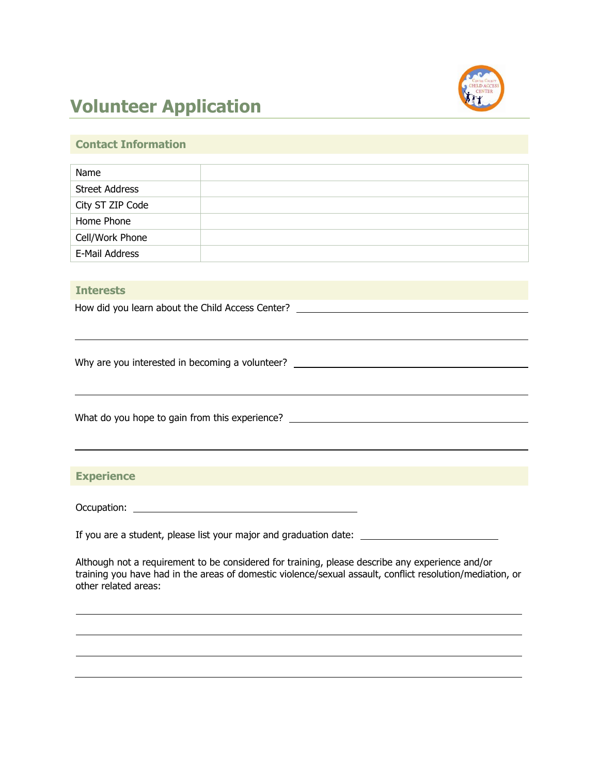

# **Volunteer Application**

## **Contact Information**

| Name                  |  |
|-----------------------|--|
| <b>Street Address</b> |  |
| City ST ZIP Code      |  |
| Home Phone            |  |
| Cell/Work Phone       |  |
| E-Mail Address        |  |
|                       |  |

#### **Interests**

How did you learn about the Child Access Center? \_\_\_\_\_\_\_\_\_\_\_\_\_\_\_\_\_\_\_\_\_\_\_\_\_\_\_\_\_\_\_

Why are you interested in becoming a volunteer? \_\_\_\_\_\_\_\_\_\_\_\_\_\_\_\_\_\_\_\_\_\_\_\_\_\_\_\_\_\_\_\_

What do you hope to gain from this experience? \_\_\_\_\_\_\_\_\_\_\_\_\_\_\_\_\_\_\_\_\_\_\_\_\_\_\_\_\_\_\_\_\_\_

## **Experience**

Occupation:

If you are a student, please list your major and graduation date:

Although not a requirement to be considered for training, please describe any experience and/or training you have had in the areas of domestic violence/sexual assault, conflict resolution/mediation, or other related areas: